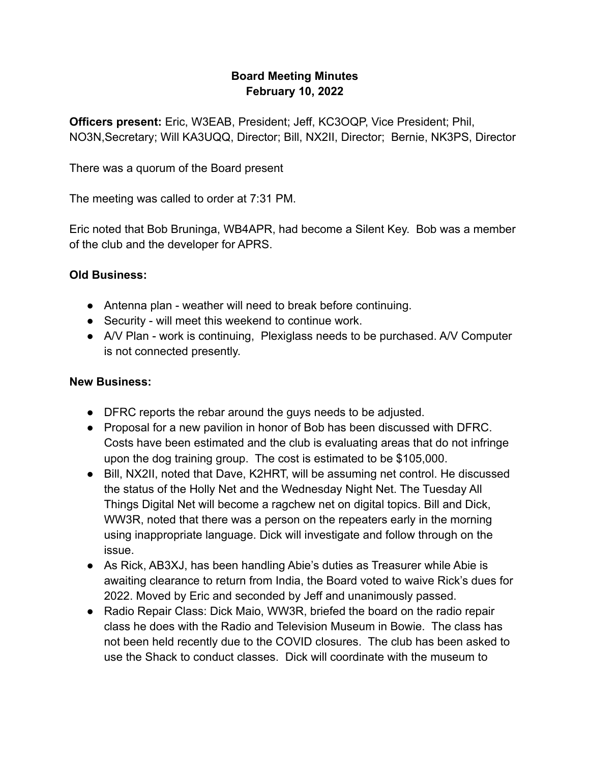## **Board Meeting Minutes February 10, 2022**

**Officers present:** Eric, W3EAB, President; Jeff, KC3OQP, Vice President; Phil, NO3N,Secretary; Will KA3UQQ, Director; Bill, NX2II, Director; Bernie, NK3PS, Director

There was a quorum of the Board present

The meeting was called to order at 7:31 PM.

Eric noted that Bob Bruninga, WB4APR, had become a Silent Key. Bob was a member of the club and the developer for APRS.

## **Old Business:**

- Antenna plan weather will need to break before continuing.
- Security will meet this weekend to continue work.
- A/V Plan work is continuing, Plexiglass needs to be purchased. A/V Computer is not connected presently.

## **New Business:**

- DFRC reports the rebar around the guys needs to be adjusted.
- Proposal for a new pavilion in honor of Bob has been discussed with DFRC. Costs have been estimated and the club is evaluating areas that do not infringe upon the dog training group. The cost is estimated to be \$105,000.
- Bill, NX2II, noted that Dave, K2HRT, will be assuming net control. He discussed the status of the Holly Net and the Wednesday Night Net. The Tuesday All Things Digital Net will become a ragchew net on digital topics. Bill and Dick, WW3R, noted that there was a person on the repeaters early in the morning using inappropriate language. Dick will investigate and follow through on the issue.
- As Rick, AB3XJ, has been handling Abie's duties as Treasurer while Abie is awaiting clearance to return from India, the Board voted to waive Rick's dues for 2022. Moved by Eric and seconded by Jeff and unanimously passed.
- Radio Repair Class: Dick Maio, WW3R, briefed the board on the radio repair class he does with the Radio and Television Museum in Bowie. The class has not been held recently due to the COVID closures. The club has been asked to use the Shack to conduct classes. Dick will coordinate with the museum to